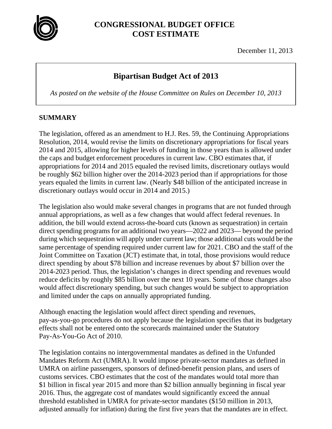

## **CONGRESSIONAL BUDGET OFFICE COST ESTIMATE**

December 11, 2013

# **Bipartisan Budget Act of 2013**

*As posted on the website of the House Committee on Rules on December 10, 2013* 

### **SUMMARY**

The legislation, offered as an amendment to H.J. Res. 59, the Continuing Appropriations Resolution, 2014, would revise the limits on discretionary appropriations for fiscal years 2014 and 2015, allowing for higher levels of funding in those years than is allowed under the caps and budget enforcement procedures in current law. CBO estimates that, if appropriations for 2014 and 2015 equaled the revised limits, discretionary outlays would be roughly \$62 billion higher over the 2014-2023 period than if appropriations for those years equaled the limits in current law. (Nearly \$48 billion of the anticipated increase in discretionary outlays would occur in 2014 and 2015.)

The legislation also would make several changes in programs that are not funded through annual appropriations, as well as a few changes that would affect federal revenues. In addition, the bill would extend across-the-board cuts (known as sequestration) in certain direct spending programs for an additional two years—2022 and 2023— beyond the period during which sequestration will apply under current law; those additional cuts would be the same percentage of spending required under current law for 2021. CBO and the staff of the Joint Committee on Taxation (JCT) estimate that, in total, those provisions would reduce direct spending by about \$78 billion and increase revenues by about \$7 billion over the 2014-2023 period. Thus, the legislation's changes in direct spending and revenues would reduce deficits by roughly \$85 billion over the next 10 years. Some of those changes also would affect discretionary spending, but such changes would be subject to appropriation and limited under the caps on annually appropriated funding.

Although enacting the legislation would affect direct spending and revenues, pay-as-you-go procedures do not apply because the legislation specifies that its budgetary effects shall not be entered onto the scorecards maintained under the Statutory Pay-As-You-Go Act of 2010.

The legislation contains no intergovernmental mandates as defined in the Unfunded Mandates Reform Act (UMRA). It would impose private-sector mandates as defined in UMRA on airline passengers, sponsors of defined-benefit pension plans, and users of customs services. CBO estimates that the cost of the mandates would total more than \$1 billion in fiscal year 2015 and more than \$2 billion annually beginning in fiscal year 2016. Thus, the aggregate cost of mandates would significantly exceed the annual threshold established in UMRA for private-sector mandates (\$150 million in 2013, adjusted annually for inflation) during the first five years that the mandates are in effect.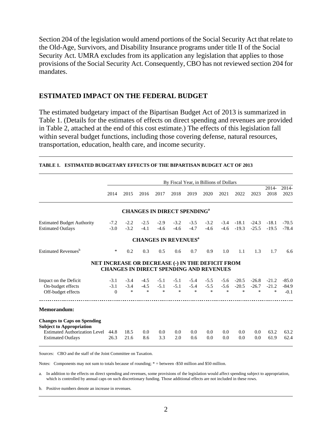Section 204 of the legislation would amend portions of the Social Security Act that relate to the Old-Age, Survivors, and Disability Insurance programs under title II of the Social Security Act. UMRA excludes from its application any legislation that applies to those provisions of the Social Security Act. Consequently, CBO has not reviewed section 204 for mandates.

#### **ESTIMATED IMPACT ON THE FEDERAL BUDGET**

The estimated budgetary impact of the Bipartisan Budget Act of 2013 is summarized in Table 1. (Details for the estimates of effects on direct spending and revenues are provided in Table 2, attached at the end of this cost estimate.) The effects of this legislation fall within several budget functions, including those covering defense, natural resources, transportation, education, health care, and income security.

|                                                                                                                                           | By Fiscal Year, in Billions of Dollars |                            |                         |                                                                                                    |                         |                            |                            |                            |                              |                              |                              |                              |  |
|-------------------------------------------------------------------------------------------------------------------------------------------|----------------------------------------|----------------------------|-------------------------|----------------------------------------------------------------------------------------------------|-------------------------|----------------------------|----------------------------|----------------------------|------------------------------|------------------------------|------------------------------|------------------------------|--|
|                                                                                                                                           | 2014                                   | 2015                       | 2016                    | 2017                                                                                               | 2018                    | 2019                       | 2020                       | 2021                       | 2022                         | 2023                         | $2014 -$<br>2018             | 2014-<br>2023                |  |
|                                                                                                                                           |                                        |                            |                         | <b>CHANGES IN DIRECT SPENDING<sup>a</sup></b>                                                      |                         |                            |                            |                            |                              |                              |                              |                              |  |
| <b>Estimated Budget Authority</b><br><b>Estimated Outlays</b>                                                                             | $-7.2$<br>$-3.0$                       | $-2.2$<br>$-3.2$           | $-2.5$<br>$-4.1$        | $-2.9$<br>$-4.6$                                                                                   | $-3.2$<br>$-4.6$        | $-3.5$<br>$-4.7$           | $-3.2$<br>$-4.6$           | $-3.4$<br>$-4.6$           | $-18.1$<br>$-19.3$           | $-24.3$<br>$-25.5$           | $-18.1$<br>$-19.5$           | $-70.5$<br>$-78.4$           |  |
|                                                                                                                                           |                                        |                            |                         | <b>CHANGES IN REVENUES<sup>a</sup></b>                                                             |                         |                            |                            |                            |                              |                              |                              |                              |  |
| Estimated Revenues <sup>b</sup>                                                                                                           | *                                      | 0.2                        | 0.3                     | 0.5                                                                                                | 0.6                     | 0.7                        | 0.9                        | 1.0                        | 1.1                          | 1.3                          | 1.7                          | 6.6                          |  |
|                                                                                                                                           |                                        |                            |                         | NET INCREASE OR DECREASE (-) IN THE DEFICIT FROM<br><b>CHANGES IN DIRECT SPENDING AND REVENUES</b> |                         |                            |                            |                            |                              |                              |                              |                              |  |
| Impact on the Deficit<br>On-budget effects<br>Off-budget effects                                                                          | $-3.1$<br>$-3.1$<br>$\Omega$           | $-3.4$<br>$-3.4$<br>$\ast$ | $-4.5$<br>$-4.5$<br>$*$ | $-5.1$<br>$-5.1$<br>$\ast$                                                                         | $-5.1$<br>$-5.1$<br>$*$ | $-5.4$<br>$-5.4$<br>$\ast$ | $-5.5$<br>$-5.5$<br>$\ast$ | $-5.6$<br>$-5.6$<br>$\ast$ | $-20.5$<br>$-20.5$<br>$\ast$ | $-26.8$<br>$-26.7$<br>$\ast$ | $-21.2$<br>$-21.2$<br>$\ast$ | $-85.0$<br>$-84.9$<br>$-0.1$ |  |
| Memorandum:                                                                                                                               |                                        |                            |                         |                                                                                                    |                         |                            |                            |                            |                              |                              |                              |                              |  |
| <b>Changes to Caps on Spending</b><br><b>Subject to Appropriation</b><br><b>Estimated Authorization Level</b><br><b>Estimated Outlays</b> | 44.8<br>26.3                           | 18.5<br>21.6               | 0.0<br>8.6              | 0.0<br>3.3                                                                                         | 0.0<br>2.0              | 0.0<br>0.6                 | 0.0<br>0.0                 | 0.0<br>0.0                 | 0.0<br>0.0                   | 0.0<br>0.0                   | 63.2<br>61.9                 | 63.2<br>62.4                 |  |

#### **TABLE 1. ESTIMATED BUDGETARY EFFECTS OF THE BIPARTISAN BUDGET ACT OF 2013**

Sources: CBO and the staff of the Joint Committee on Taxation.

Notes: Components may not sum to totals because of rounding; \* = between -\$50 million and \$50 million.

a. In addition to the effects on direct spending and revenues, some provisions of the legislation would affect spending subject to appropriation, which is controlled by annual caps on such discretionary funding. Those additional effects are not included in these rows.

b. Positive numbers denote an increase in revenues.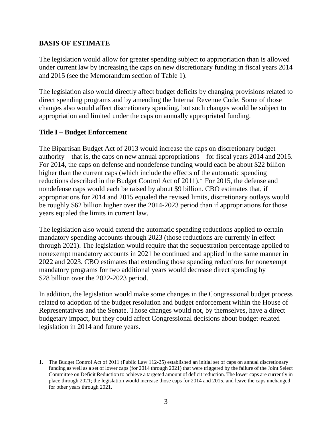#### **BASIS OF ESTIMATE**

The legislation would allow for greater spending subject to appropriation than is allowed under current law by increasing the caps on new discretionary funding in fiscal years 2014 and 2015 (see the Memorandum section of Table 1).

The legislation also would directly affect budget deficits by changing provisions related to direct spending programs and by amending the Internal Revenue Code. Some of those changes also would affect discretionary spending, but such changes would be subject to appropriation and limited under the caps on annually appropriated funding.

#### **Title I – Budget Enforcement**

 $\overline{\phantom{a}}$ 

The Bipartisan Budget Act of 2013 would increase the caps on discretionary budget authority—that is, the caps on new annual appropriations—for fiscal years 2014 and 2015. For 2014, the caps on defense and nondefense funding would each be about \$22 billion higher than the current caps (which include the effects of the automatic spending reductions described in the Budget Control Act of  $2011$ ).<sup>1</sup> For 2015, the defense and nondefense caps would each be raised by about \$9 billion. CBO estimates that, if appropriations for 2014 and 2015 equaled the revised limits, discretionary outlays would be roughly \$62 billion higher over the 2014-2023 period than if appropriations for those years equaled the limits in current law.

The legislation also would extend the automatic spending reductions applied to certain mandatory spending accounts through 2023 (those reductions are currently in effect through 2021). The legislation would require that the sequestration percentage applied to nonexempt mandatory accounts in 2021 be continued and applied in the same manner in 2022 and 2023. CBO estimates that extending those spending reductions for nonexempt mandatory programs for two additional years would decrease direct spending by \$28 billion over the 2022-2023 period.

In addition, the legislation would make some changes in the Congressional budget process related to adoption of the budget resolution and budget enforcement within the House of Representatives and the Senate. Those changes would not, by themselves, have a direct budgetary impact, but they could affect Congressional decisions about budget-related legislation in 2014 and future years.

<sup>1.</sup> The Budget Control Act of 2011 (Public Law 112-25) established an initial set of caps on annual discretionary funding as well as a set of lower caps (for 2014 through 2021) that were triggered by the failure of the Joint Select Committee on Deficit Reduction to achieve a targeted amount of deficit reduction. The lower caps are currently in place through 2021; the legislation would increase those caps for 2014 and 2015, and leave the caps unchanged for other years through 2021.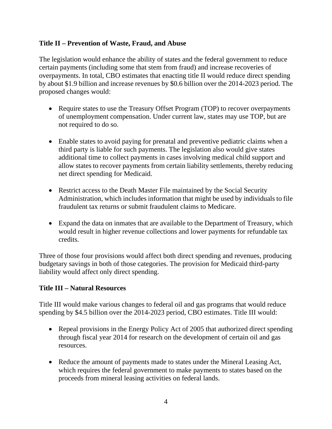#### **Title II – Prevention of Waste, Fraud, and Abuse**

The legislation would enhance the ability of states and the federal government to reduce certain payments (including some that stem from fraud) and increase recoveries of overpayments. In total, CBO estimates that enacting title II would reduce direct spending by about \$1.9 billion and increase revenues by \$0.6 billion over the 2014-2023 period. The proposed changes would:

- Require states to use the Treasury Offset Program (TOP) to recover overpayments of unemployment compensation. Under current law, states may use TOP, but are not required to do so.
- Enable states to avoid paying for prenatal and preventive pediatric claims when a third party is liable for such payments. The legislation also would give states additional time to collect payments in cases involving medical child support and allow states to recover payments from certain liability settlements, thereby reducing net direct spending for Medicaid.
- Restrict access to the Death Master File maintained by the Social Security Administration, which includes information that might be used by individuals to file fraudulent tax returns or submit fraudulent claims to Medicare.
- Expand the data on inmates that are available to the Department of Treasury, which would result in higher revenue collections and lower payments for refundable tax credits.

Three of those four provisions would affect both direct spending and revenues, producing budgetary savings in both of those categories. The provision for Medicaid third-party liability would affect only direct spending.

### **Title III – Natural Resources**

Title III would make various changes to federal oil and gas programs that would reduce spending by \$4.5 billion over the 2014-2023 period, CBO estimates. Title III would:

- Repeal provisions in the Energy Policy Act of 2005 that authorized direct spending through fiscal year 2014 for research on the development of certain oil and gas resources.
- Reduce the amount of payments made to states under the Mineral Leasing Act, which requires the federal government to make payments to states based on the proceeds from mineral leasing activities on federal lands.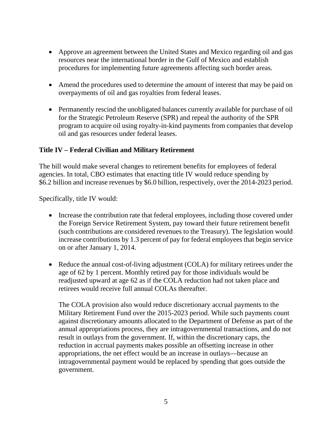- Approve an agreement between the United States and Mexico regarding oil and gas resources near the international border in the Gulf of Mexico and establish procedures for implementing future agreements affecting such border areas.
- Amend the procedures used to determine the amount of interest that may be paid on overpayments of oil and gas royalties from federal leases.
- Permanently rescind the unobligated balances currently available for purchase of oil for the Strategic Petroleum Reserve (SPR) and repeal the authority of the SPR program to acquire oil using royalty-in-kind payments from companies that develop oil and gas resources under federal leases.

### **Title IV – Federal Civilian and Military Retirement**

The bill would make several changes to retirement benefits for employees of federal agencies. In total, CBO estimates that enacting title IV would reduce spending by \$6.2 billion and increase revenues by \$6.0 billion, respectively, over the 2014-2023 period.

Specifically, title IV would:

- Increase the contribution rate that federal employees, including those covered under the Foreign Service Retirement System, pay toward their future retirement benefit (such contributions are considered revenues to the Treasury). The legislation would increase contributions by 1.3 percent of pay for federal employees that begin service on or after January 1, 2014.
- Reduce the annual cost-of-living adjustment (COLA) for military retirees under the age of 62 by 1 percent. Monthly retired pay for those individuals would be readjusted upward at age 62 as if the COLA reduction had not taken place and retirees would receive full annual COLAs thereafter.

The COLA provision also would reduce discretionary accrual payments to the Military Retirement Fund over the 2015-2023 period. While such payments count against discretionary amounts allocated to the Department of Defense as part of the annual appropriations process, they are intragovernmental transactions, and do not result in outlays from the government. If, within the discretionary caps, the reduction in accrual payments makes possible an offsetting increase in other appropriations, the net effect would be an increase in outlays—because an intragovernmental payment would be replaced by spending that goes outside the government.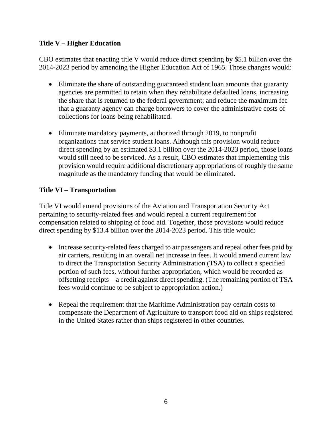#### **Title V – Higher Education**

CBO estimates that enacting title V would reduce direct spending by \$5.1 billion over the 2014-2023 period by amending the Higher Education Act of 1965. Those changes would:

- Eliminate the share of outstanding guaranteed student loan amounts that guaranty agencies are permitted to retain when they rehabilitate defaulted loans, increasing the share that is returned to the federal government; and reduce the maximum fee that a guaranty agency can charge borrowers to cover the administrative costs of collections for loans being rehabilitated.
- Eliminate mandatory payments, authorized through 2019, to nonprofit organizations that service student loans. Although this provision would reduce direct spending by an estimated \$3.1 billion over the 2014-2023 period, those loans would still need to be serviced. As a result, CBO estimates that implementing this provision would require additional discretionary appropriations of roughly the same magnitude as the mandatory funding that would be eliminated.

### **Title VI – Transportation**

Title VI would amend provisions of the Aviation and Transportation Security Act pertaining to security-related fees and would repeal a current requirement for compensation related to shipping of food aid. Together, those provisions would reduce direct spending by \$13.4 billion over the 2014-2023 period. This title would:

- Increase security-related fees charged to air passengers and repeal other fees paid by air carriers, resulting in an overall net increase in fees. It would amend current law to direct the Transportation Security Administration (TSA) to collect a specified portion of such fees, without further appropriation, which would be recorded as offsetting receipts—a credit against direct spending. (The remaining portion of TSA fees would continue to be subject to appropriation action.)
- Repeal the requirement that the Maritime Administration pay certain costs to compensate the Department of Agriculture to transport food aid on ships registered in the United States rather than ships registered in other countries.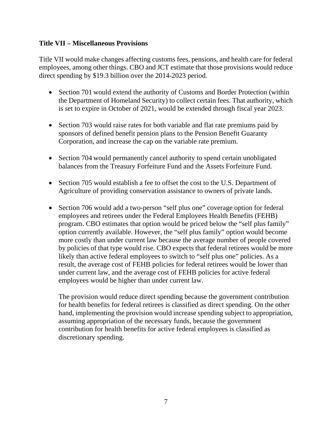#### **Title VII – Miscellaneous Provisions**

Title VII would make changes affecting customs fees, pensions, and health care for federal employees, among other things. CBO and JCT estimate that those provisions would reduce direct spending by \$19.3 billion over the 2014-2023 period.

- Section 701 would extend the authority of Customs and Border Protection (within the Department of Homeland Security) to collect certain fees. That authority, which is set to expire in October of 2021, would be extended through fiscal year 2023.
- Section 703 would raise rates for both variable and flat rate premiums paid by sponsors of defined benefit pension plans to the Pension Benefit Guaranty Corporation, and increase the cap on the variable rate premium.
- Section 704 would permanently cancel authority to spend certain unobligated balances from the Treasury Forfeiture Fund and the Assets Forfeiture Fund.
- Section 705 would establish a fee to offset the cost to the U.S. Department of Agriculture of providing conservation assistance to owners of private lands.
- Section 706 would add a two-person "self plus one" coverage option for federal employees and retirees under the Federal Employees Health Benefits (FEHB) program. CBO estimates that option would be priced below the "self plus family" option currently available. However, the "self plus family" option would become more costly than under current law because the average number of people covered by policies of that type would rise. CBO expects that federal retirees would be more likely than active federal employees to switch to "self plus one" policies. As a result, the average cost of FEHB policies for federal retirees would be lower than under current law, and the average cost of FEHB policies for active federal employees would be higher than under current law.

The provision would reduce direct spending because the government contribution for health benefits for federal retirees is classified as direct spending. On the other hand, implementing the provision would increase spending subject to appropriation, assuming appropriation of the necessary funds, because the government contribution for health benefits for active federal employees is classified as discretionary spending.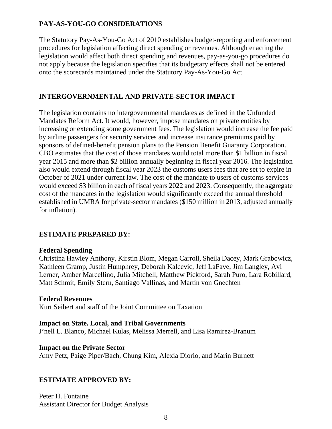## **PAY-AS-YOU-GO CONSIDERATIONS**

The Statutory Pay-As-You-Go Act of 2010 establishes budget-reporting and enforcement procedures for legislation affecting direct spending or revenues. Although enacting the legislation would affect both direct spending and revenues, pay-as-you-go procedures do not apply because the legislation specifies that its budgetary effects shall not be entered onto the scorecards maintained under the Statutory Pay-As-You-Go Act.

### **INTERGOVERNMENTAL AND PRIVATE-SECTOR IMPACT**

The legislation contains no intergovernmental mandates as defined in the Unfunded Mandates Reform Act. It would, however, impose mandates on private entities by increasing or extending some government fees. The legislation would increase the fee paid by airline passengers for security services and increase insurance premiums paid by sponsors of defined-benefit pension plans to the Pension Benefit Guaranty Corporation. CBO estimates that the cost of those mandates would total more than \$1 billion in fiscal year 2015 and more than \$2 billion annually beginning in fiscal year 2016. The legislation also would extend through fiscal year 2023 the customs users fees that are set to expire in October of 2021 under current law. The cost of the mandate to users of customs services would exceed \$3 billion in each of fiscal years 2022 and 2023. Consequently, the aggregate cost of the mandates in the legislation would significantly exceed the annual threshold established in UMRA for private-sector mandates (\$150 million in 2013, adjusted annually for inflation).

### **ESTIMATE PREPARED BY:**

#### **Federal Spending**

Christina Hawley Anthony, Kirstin Blom, Megan Carroll, Sheila Dacey, Mark Grabowicz, Kathleen Gramp, Justin Humphrey, Deborah Kalcevic, Jeff LaFave, Jim Langley, Avi Lerner, Amber Marcellino, Julia Mitchell, Matthew Pickford, Sarah Puro, Lara Robillard, Matt Schmit, Emily Stern, Santiago Vallinas, and Martin von Gnechten

#### **Federal Revenues**

Kurt Seibert and staff of the Joint Committee on Taxation

#### **Impact on State, Local, and Tribal Governments**

J'nell L. Blanco, Michael Kulas, Melissa Merrell, and Lisa Ramirez-Branum

#### **Impact on the Private Sector**

Amy Petz, Paige Piper/Bach, Chung Kim, Alexia Diorio, and Marin Burnett

#### **ESTIMATE APPROVED BY:**

Peter H. Fontaine Assistant Director for Budget Analysis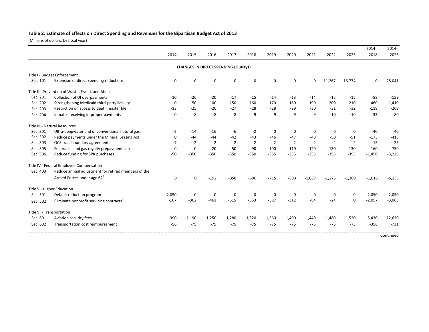#### **Table 2. Estimate of Effects on Direct Spending and Revenues for the Bipartisan Budget Act of 2013**

(Millions of dollars, by fiscal year)

|                           |                                                      |             |             |                                             |              |             |          |          |             |           |             | 2014-    | 2014-     |
|---------------------------|------------------------------------------------------|-------------|-------------|---------------------------------------------|--------------|-------------|----------|----------|-------------|-----------|-------------|----------|-----------|
|                           |                                                      | 2014        | 2015        | 2016                                        | 2017         | 2018        | 2019     | 2020     | 2021        | 2022      | 2023        | 2018     | 2023      |
|                           |                                                      |             |             | <b>CHANGES IN DIRECT SPENDING (Outlays)</b> |              |             |          |          |             |           |             |          |           |
|                           | Title I - Budget Enforcement                         |             |             |                                             |              |             |          |          |             |           |             |          |           |
| Sec. 101                  | Extension of direct spending reductions              | $\Omega$    | $\Omega$    | $\Omega$                                    | $\Omega$     | 0           | $\Omega$ | $\Omega$ | $\mathbf 0$ | $-11,267$ | $-16,774$   | O        | $-28,041$ |
|                           | Title II - Prevention of Waste, Fraud, and Abuse     |             |             |                                             |              |             |          |          |             |           |             |          |           |
| Sec. 201                  | Collection of UI overpayments                        | $-10$       | $-26$       | $-20$                                       | $-17$        | $-15$       | $-14$    | $-13$    | $-14$       | $-15$     | $-15$       | $-88$    | $-159$    |
| Sec. 202                  | Strengthening Medicaid third-party liability         | $\Omega$    | $-50$       | $-100$                                      | $-150$       | $-160$      | $-170$   | $-180$   | $-190$      | $-200$    | $-210$      | $-460$   | $-1,410$  |
| Sec. 203                  | Restriction on access to death master file           | $-13$       | $-25$       | $-26$                                       | $-27$        | $-28$       | $-28$    | $-29$    | $-30$       | $-31$     | $-32$       | $-119$   | $-269$    |
| Sec. 204                  | Inmates receiving improper payments                  | $\Omega$    | -8          | -8                                          | -8           | -9          | $-9$     | $-9$     | $-9$        | $-10$     | $-10$       | $-33$    | $-80$     |
|                           | Title III - Natural Resources                        |             |             |                                             |              |             |          |          |             |           |             |          |           |
| Sec. 301                  | Ultra-deepwater and unconventional natural gas       | -2          | $-14$       | $-16$                                       | -6           | $-2$        | $\Omega$ | 0        | 0           | 0         | 0           | $-40$    | $-40$     |
| Sec. 302                  | Reduce payments under the Mineral Leasing Act        | $\mathbf 0$ | -44         | $-44$                                       | $-42$        | $-43$       | $-46$    | $-47$    | $-48$       | $-50$     | $-51$       | $-173$   | $-415$    |
| Sec. 303                  | OCS transboundary agreements                         | $-7$        | $-2$        | $-2$                                        | $-2$         | $-2$        | $-2$     | $-2$     | $-2$        | $-2$      | $-2$        | $-15$    | $-25$     |
| Sec. 305                  | Federal oil and gas royalty prepayment cap           | $\mathbf 0$ | $\Omega$    | $-20$                                       | $-50$        | $-90$       | $-100$   | $-110$   | $-120$      | $-130$    | $-130$      | $-160$   | $-750$    |
| Sec. 306                  | Reduce funding for SPR purchases                     | $-50$       | $-350$      | $-350$                                      | $-350$       | $-350$      | $-355$   | $-355$   | $-355$      | $-355$    | $-355$      | $-1,450$ | $-3,225$  |
|                           | Title IV - Federal Employee Compensation             |             |             |                                             |              |             |          |          |             |           |             |          |           |
| Sec. 403                  | Reduce annual adjustment for retired members of the  |             |             |                                             |              |             |          |          |             |           |             |          |           |
|                           | Armed Forces under age 62 <sup>a</sup>               | $\Omega$    | $\Omega$    | $-152$                                      | $-358$       | $-506$      | $-715$   | $-883$   | $-1,037$    | $-1,275$  | $-1,309$    | $-1,016$ | $-6,235$  |
|                           | Title V - Higher Education                           |             |             |                                             |              |             |          |          |             |           |             |          |           |
| Sec. 501                  | Default reduction program                            | $-2,050$    | $\mathbf 0$ | $\Omega$                                    | $\mathbf{0}$ | $\mathbf 0$ | 0        | 0        | 0           | 0         | 0           | $-2,050$ | $-2,050$  |
| Sec. 502                  | Eliminate nonprofit servicing contracts <sup>p</sup> | $-167$      | $-362$      | $-461$                                      | $-515$       | $-553$      | $-587$   | $-312$   | $-84$       | $-24$     | $\mathbf 0$ | $-2,057$ | $-3,065$  |
| Title VI - Transportation |                                                      |             |             |                                             |              |             |          |          |             |           |             |          |           |
| Sec. 601                  | Aviation security fees                               | $-390$      | $-1,190$    | $-1,250$                                    | $-1,280$     | $-1,320$    | $-1,360$ | $-1,400$ | $-1,440$    | $-1,480$  | $-1,520$    | $-5,430$ | $-12,630$ |
| Sec. 602                  | Transportation cost reimbursement                    | $-56$       | $-75$       | $-75$                                       | $-75$        | $-75$       | $-75$    | $-75$    | $-75$       | $-75$     | $-75$       | $-356$   | $-731$    |

**Continued**